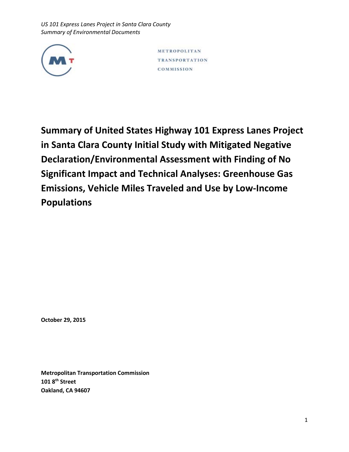

METROPOLITAN **TRANSPORTATION** COMMISSION

**Summary of United States Highway 101 Express Lanes Project in Santa Clara County Initial Study with Mitigated Negative Declaration/Environmental Assessment with Finding of No Significant Impact and Technical Analyses: Greenhouse Gas Emissions, Vehicle Miles Traveled and Use by Low-Income Populations**

**October 29, 2015**

**Metropolitan Transportation Commission 101 8th Street Oakland, CA 94607**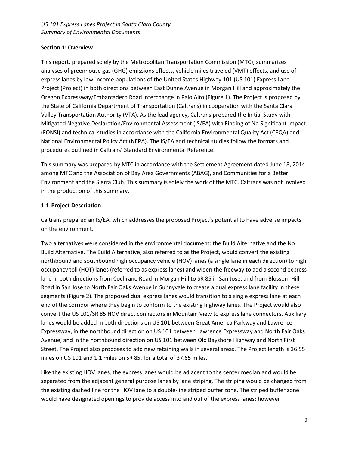## **Section 1: Overview**

This report, prepared solely by the Metropolitan Transportation Commission (MTC), summarizes analyses of greenhouse gas (GHG) emissions effects, vehicle miles traveled (VMT) effects, and use of express lanes by low-income populations of the United States Highway 101 (US 101) Express Lane Project (Project) in both directions between East Dunne Avenue in Morgan Hill and approximately the Oregon Expressway/Embarcadero Road interchange in Palo Alto (Figure 1). The Project is proposed by the State of California Department of Transportation (Caltrans) in cooperation with the Santa Clara Valley Transportation Authority (VTA). As the lead agency, Caltrans prepared the Initial Study with Mitigated Negative Declaration/Environmental Assessment (IS/EA) with Finding of No Significant Impact (FONSI) and technical studies in accordance with the California Environmental Quality Act (CEQA) and National Environmental Policy Act (NEPA). The IS/EA and technical studies follow the formats and procedures outlined in Caltrans' Standard Environmental Reference.

This summary was prepared by MTC in accordance with the Settlement Agreement dated June 18, 2014 among MTC and the Association of Bay Area Governments (ABAG), and Communities for a Better Environment and the Sierra Club. This summary is solely the work of the MTC. Caltrans was not involved in the production of this summary.

# **1.1 Project Description**

Caltrans prepared an IS/EA, which addresses the proposed Project's potential to have adverse impacts on the environment.

Two alternatives were considered in the environmental document: the Build Alternative and the No Build Alternative. The Build Alternative, also referred to as the Project, would convert the existing northbound and southbound high occupancy vehicle (HOV) lanes (a single lane in each direction) to high occupancy toll (HOT) lanes (referred to as express lanes) and widen the freeway to add a second express lane in both directions from Cochrane Road in Morgan Hill to SR 85 in San Jose, and from Blossom Hill Road in San Jose to North Fair Oaks Avenue in Sunnyvale to create a dual express lane facility in these segments (Figure 2). The proposed dual express lanes would transition to a single express lane at each end of the corridor where they begin to conform to the existing highway lanes. The Project would also convert the US 101/SR 85 HOV direct connectors in Mountain View to express lane connectors. Auxiliary lanes would be added in both directions on US 101 between Great America Parkway and Lawrence Expressway, in the northbound direction on US 101 between Lawrence Expressway and North Fair Oaks Avenue, and in the northbound direction on US 101 between Old Bayshore Highway and North First Street. The Project also proposes to add new retaining walls in several areas. The Project length is 36.55 miles on US 101 and 1.1 miles on SR 85, for a total of 37.65 miles.

Like the existing HOV lanes, the express lanes would be adjacent to the center median and would be separated from the adjacent general purpose lanes by lane striping. The striping would be changed from the existing dashed line for the HOV lane to a double-line striped buffer zone. The striped buffer zone would have designated openings to provide access into and out of the express lanes; however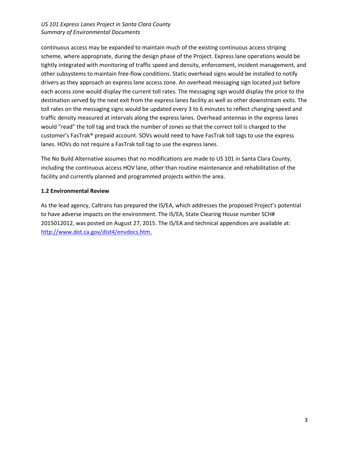continuous access may be expanded to maintain much of the existing continuous access striping scheme, where appropriate, during the design phase of the Project. Express lane operations would be tightly integrated with monitoring of traffic speed and density, enforcement, incident management, and other subsystems to maintain free-flow conditions. Static overhead signs would be installed to notify drivers as they approach an express lane access zone. An overhead messaging sign located just before each access zone would display the current toll rates. The messaging sign would display the price to the destination served by the next exit from the express lanes facility as well as other downstream exits. The toll rates on the messaging signs would be updated every 3 to 6 minutes to reflect changing speed and traffic density measured at intervals along the express lanes. Overhead antennas in the express lanes would "read" the toll tag and track the number of zones so that the correct toll is charged to the customer's FasTrak® prepaid account. SOVs would need to have FasTrak toll tags to use the express lanes. HOVs do not require a FasTrak toll tag to use the express lanes.

The No Build Alternative assumes that no modifications are made to US 101 in Santa Clara County, including the continuous access HOV lane, other than routine maintenance and rehabilitation of the facility and currently planned and programmed projects within the area.

### **1.2 Environmental Review**

As the lead agency, Caltrans has prepared the IS/EA, which addresses the proposed Project's potential to have adverse impacts on the environment. The IS/EA, State Clearing House number SCH# 2015012012, was posted on August 27, 2015. The IS/EA and technical appendices are available at: [http://www.dot.ca.gov/dist4/envdocs.htm.](http://www.dot.ca.gov/dist4/envdocs.htm)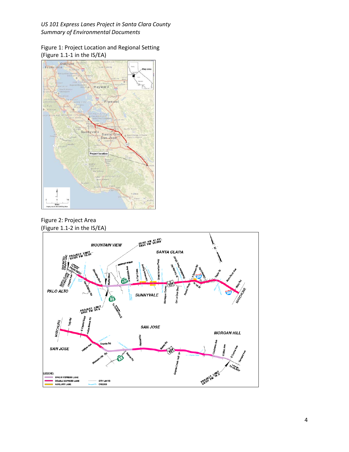Figure 1: Project Location and Regional Setting (Figure 1.1-1 in the IS/EA)



Figure 2: Project Area (Figure 1.1-2 in the IS/EA)

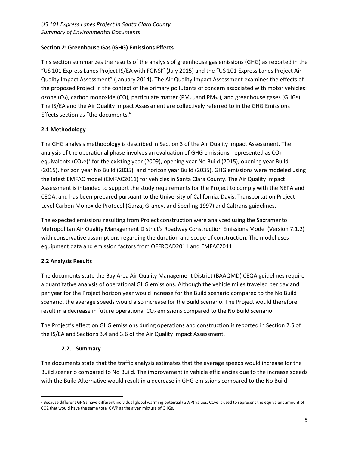# **Section 2: Greenhouse Gas (GHG) Emissions Effects**

This section summarizes the results of the analysis of greenhouse gas emissions (GHG) as reported in the "US 101 Express Lanes Project IS/EA with FONSI" (July 2015) and the "US 101 Express Lanes Project Air Quality Impact Assessment" (January 2014). The Air Quality Impact Assessment examines the effects of the proposed Project in the context of the primary pollutants of concern associated with motor vehicles: ozone (O<sub>3</sub>), carbon monoxide (CO), particulate matter (PM<sub>2.5</sub> and PM<sub>10</sub>), and greenhouse gases (GHGs). The IS/EA and the Air Quality Impact Assessment are collectively referred to in the GHG Emissions Effects section as "the documents."

# **2.1 Methodology**

The GHG analysis methodology is described in Section 3 of the Air Quality Impact Assessment. The analysis of the operational phase involves an evaluation of GHG emissions, represented as  $CO<sub>2</sub>$ equivalents  $(CO_2e)^1$  for the existing year (2009), opening year No Build (2015), opening year Build (2015), horizon year No Build (2035), and horizon year Build (2035). GHG emissions were modeled using the latest EMFAC model (EMFAC2011) for vehicles in Santa Clara County. The Air Quality Impact Assessment is intended to support the study requirements for the Project to comply with the NEPA and CEQA, and has been prepared pursuant to the University of California, Davis, Transportation Project-Level Carbon Monoxide Protocol (Garza, Graney, and Sperling 1997) and Caltrans guidelines.

The expected emissions resulting from Project construction were analyzed using the Sacramento Metropolitan Air Quality Management District's Roadway Construction Emissions Model (Version 7.1.2) with conservative assumptions regarding the duration and scope of construction. The model uses equipment data and emission factors from OFFROAD2011 and EMFAC2011.

## **2.2 Analysis Results**

The documents state the Bay Area Air Quality Management District (BAAQMD) CEQA guidelines require a quantitative analysis of operational GHG emissions. Although the vehicle miles traveled per day and per year for the Project horizon year would increase for the Build scenario compared to the No Build scenario, the average speeds would also increase for the Build scenario. The Project would therefore result in a decrease in future operational  $CO<sub>2</sub>$  emissions compared to the No Build scenario.

The Project's effect on GHG emissions during operations and construction is reported in Section 2.5 of the IS/EA and Sections 3.4 and 3.6 of the Air Quality Impact Assessment.

## **2.2.1 Summary**

The documents state that the traffic analysis estimates that the average speeds would increase for the Build scenario compared to No Build. The improvement in vehicle efficiencies due to the increase speeds with the Build Alternative would result in a decrease in GHG emissions compared to the No Build

<span id="page-4-0"></span><sup>&</sup>lt;sup>1</sup> Because different GHGs have different individual global warming potential (GWP) values, CO<sub>2</sub>e is used to represent the equivalent amount of CO2 that would have the same total GWP as the given mixture of GHGs.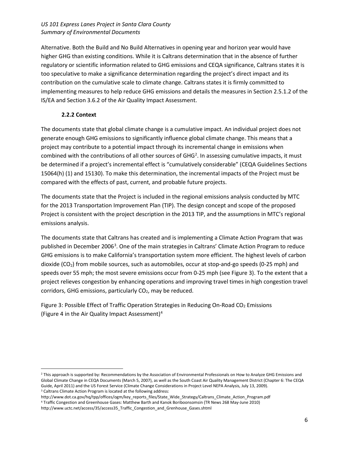Alternative. Both the Build and No Build Alternatives in opening year and horizon year would have higher GHG than existing conditions. While it is Caltrans determination that in the absence of further regulatory or scientific information related to GHG emissions and CEQA significance, Caltrans states it is too speculative to make a significance determination regarding the project's direct impact and its contribution on the cumulative scale to climate change. Caltrans states it is firmly committed to implementing measures to help reduce GHG emissions and details the measures in Section 2.5.1.2 of the IS/EA and Section 3.6.2 of the Air Quality Impact Assessment.

# **2.2.2 Context**

The documents state that global climate change is a cumulative impact. An individual project does not generate enough GHG emissions to significantly influence global climate change. This means that a project may contribute to a potential impact through its incremental change in emissions when combined with the contributions of all other sources of GHG<sup>[2](#page-5-0)</sup>. In assessing cumulative impacts, it must be determined if a project's incremental effect is "cumulatively considerable" (CEQA Guidelines Sections 15064(h) (1) and 15130). To make this determination, the incremental impacts of the Project must be compared with the effects of past, current, and probable future projects.

The documents state that the Project is included in the regional emissions analysis conducted by MTC for the 2013 Transportation Improvement Plan (TIP). The design concept and scope of the proposed Project is consistent with the project description in the 2013 TIP, and the assumptions in MTC's regional emissions analysis.

The documents state that Caltrans has created and is implementing a Climate Action Program that was published in December 2006<sup>[3](#page-5-1)</sup>. One of the main strategies in Caltrans' Climate Action Program to reduce GHG emissions is to make California's transportation system more efficient. The highest levels of carbon dioxide (CO2) from mobile sources, such as automobiles, occur at stop-and-go speeds (0-25 mph) and speeds over 55 mph; the most severe emissions occur from 0-25 mph (see Figure 3). To the extent that a project relieves congestion by enhancing operations and improving travel times in high congestion travel corridors, GHG emissions, particularly  $CO<sub>2</sub>$ , may be reduced.

Figure 3: Possible Effect of Traffic Operation Strategies in Reducing On-Road CO<sub>2</sub> Emissions (Figure 4 in the Air Quality Impact Assessment) [4](#page-5-2)

<span id="page-5-0"></span><sup>&</sup>lt;sup>2</sup> This approach is supported by: Recommendations by the Association of Environmental Professionals on How to Analyze GHG Emissions and Global Climate Change in CEQA Documents (March 5, 2007), as well as the South Coast Air Quality Management District (Chapter 6: The CEQA Guide, April 2011) and the US Forest Service (Climate Change Considerations in Project Level NEPA Analysis, July 13, 2009). <sup>3</sup> Caltrans Climate Action Program is located at the following address:

<span id="page-5-1"></span>http://www.dot.ca.gov/hq/tpp/offices/ogm/key\_reports\_files/State\_Wide\_Strategy/Caltrans\_Climate\_Action\_Program.pdf

<span id="page-5-2"></span><sup>4</sup> Traffic Congestion and Greenhouse Gases: Matthew Barth and Kanok Boriboonsomsin (TR News 268 May-June 2010)

http://www.uctc.net/access/35/access35\_Traffic\_Congestion\_and\_Grenhouse\_Gases.shtml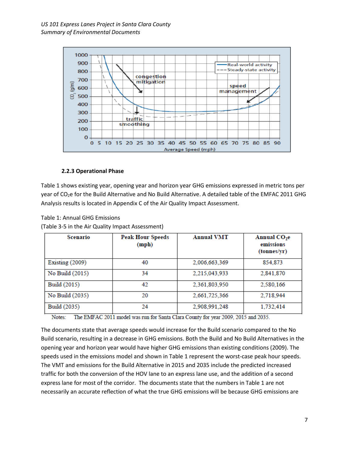

### **2.2.3 Operational Phase**

Table 1 shows existing year, opening year and horizon year GHG emissions expressed in metric tons per year of CO2e for the Build Alternative and No Build Alternative. A detailed table of the EMFAC 2011 GHG Analysis results is located in Appendix C of the Air Quality Impact Assessment.

Table 1: Annual GHG Emissions

(Table 3-5 in the Air Quality Impact Assessment)

| Scenario          | <b>Peak Hour Speeds</b><br>(mph) | <b>Annual VMT</b> | Annual CO <sub>2</sub> e<br>emissions<br>(tonnes/yr) |
|-------------------|----------------------------------|-------------------|------------------------------------------------------|
| Existing $(2009)$ | 40                               | 2,006,663,369     | 854,873                                              |
| No Build (2015)   | 34                               | 2,215,043,933     | 2,841,870                                            |
| Build (2015)      | 42                               | 2,361,803,950     | 2,580,166                                            |
| No Build (2035)   | 20                               | 2,661,725,366     | 2,718,944                                            |
| Build (2035)      | 24                               | 2,908,991,248     | 1,732,414                                            |

The EMFAC 2011 model was run for Santa Clara County for year 2009, 2015 and 2035. Notes:

The documents state that average speeds would increase for the Build scenario compared to the No Build scenario, resulting in a decrease in GHG emissions. Both the Build and No Build Alternatives in the opening year and horizon year would have higher GHG emissions than existing conditions (2009). The speeds used in the emissions model and shown in Table 1 represent the worst-case peak hour speeds. The VMT and emissions for the Build Alternative in 2015 and 2035 include the predicted increased traffic for both the conversion of the HOV lane to an express lane use, and the addition of a second express lane for most of the corridor. The documents state that the numbers in Table 1 are not necessarily an accurate reflection of what the true GHG emissions will be because GHG emissions are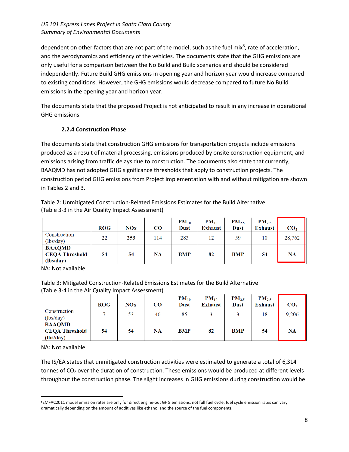dependent on other factors that are not part of the model, such as the fuel mix<sup>[5](#page-7-0)</sup>, rate of acceleration, and the aerodynamics and efficiency of the vehicles. The documents state that the GHG emissions are only useful for a comparison between the No Build and Build scenarios and should be considered independently. Future Build GHG emissions in opening year and horizon year would increase compared to existing conditions. However, the GHG emissions would decrease compared to future No Build emissions in the opening year and horizon year.

The documents state that the proposed Project is not anticipated to result in any increase in operational GHG emissions.

## **2.2.4 Construction Phase**

The documents state that construction GHG emissions for transportation projects include emissions produced as a result of material processing, emissions produced by onsite construction equipment, and emissions arising from traffic delays due to construction. The documents also state that currently, BAAQMD has not adopted GHG significance thresholds that apply to construction projects. The construction period GHG emissions from Project implementation with and without mitigation are shown in Tables 2 and 3.

|                                                     | <b>ROG</b> | NOx | <b>CO</b> | $PM_{10}$<br><b>Dust</b> | $PM_{10}$<br><b>Exhaust</b> | $PM_{2.5}$<br><b>Dust</b> | $PM_{2.5}$<br><b>Exhaust</b> | CO <sub>2</sub> |
|-----------------------------------------------------|------------|-----|-----------|--------------------------|-----------------------------|---------------------------|------------------------------|-----------------|
| Construction<br>(lbs/day)                           | 22         | 253 | 114       | 283                      | 12                          | 59                        | 10                           | 28,762          |
| <b>BAAQMD</b><br><b>CEQA Threshold</b><br>(lbs/day) | 54         | 54  | NA        | <b>BMP</b>               | 82                          | <b>BMP</b>                | 54                           | <b>NA</b>       |

Table 2: Unmitigated Construction-Related Emissions Estimates for the Build Alternative (Table 3-3 in the Air Quality Impact Assessment)

NA: Not available

Table 3: Mitigated Construction-Related Emissions Estimates for the Build Alternative (Table 3-4 in the Air Quality Impact Assessment)

|                       |            |       |          | $PM_{10}$   | $PM_{10}$      | $PM_{2.5}$  | $PM_{2.5}$     |                 |
|-----------------------|------------|-------|----------|-------------|----------------|-------------|----------------|-----------------|
|                       | <b>ROG</b> | $NOX$ | $\bf CO$ | <b>Dust</b> | <b>Exhaust</b> | <b>Dust</b> | <b>Exhaust</b> | CO <sub>2</sub> |
| Construction          |            | 53    | 46       | 85          |                |             | 18             | 9,206           |
| (lbs/day)             |            |       |          |             |                |             |                |                 |
| <b>BAAQMD</b>         |            |       |          |             |                |             |                |                 |
| <b>CEQA Threshold</b> | 54         | 54    | NA       | <b>BMP</b>  | 82             | <b>BMP</b>  | 54             | <b>NA</b>       |
| (lbs/day)             |            |       |          |             |                |             |                |                 |

NA: Not available

The IS/EA states that unmitigated construction activities were estimated to generate a total of 6,314 tonnes of CO<sub>2</sub> over the duration of construction. These emissions would be produced at different levels throughout the construction phase. The slight increases in GHG emissions during construction would be

<span id="page-7-0"></span> <sup>5</sup>EMFAC2011 model emission rates are only for direct engine-out GHG emissions, not full fuel cycle; fuel cycle emission rates can vary dramatically depending on the amount of additives like ethanol and the source of the fuel components.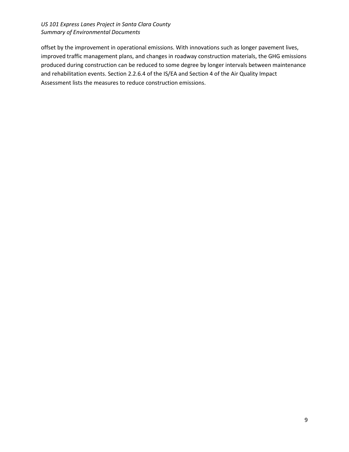offset by the improvement in operational emissions. With innovations such as longer pavement lives, improved traffic management plans, and changes in roadway construction materials, the GHG emissions produced during construction can be reduced to some degree by longer intervals between maintenance and rehabilitation events. Section 2.2.6.4 of the IS/EA and Section 4 of the Air Quality Impact Assessment lists the measures to reduce construction emissions.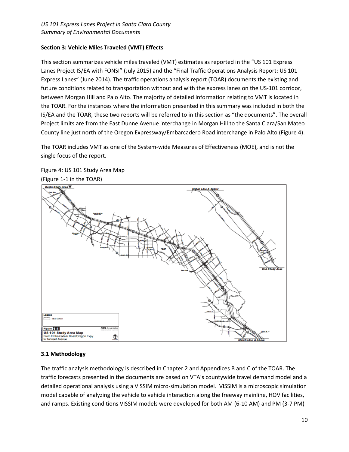# **Section 3: Vehicle Miles Traveled (VMT) Effects**

This section summarizes vehicle miles traveled (VMT) estimates as reported in the "US 101 Express Lanes Project IS/EA with FONSI" (July 2015) and the "Final Traffic Operations Analysis Report: US 101 Express Lanes" (June 2014). The traffic operations analysis report (TOAR) documents the existing and future conditions related to transportation without and with the express lanes on the US-101 corridor, between Morgan Hill and Palo Alto. The majority of detailed information relating to VMT is located in the TOAR. For the instances where the information presented in this summary was included in both the IS/EA and the TOAR, these two reports will be referred to in this section as "the documents". The overall Project limits are from the East Dunne Avenue interchange in Morgan Hill to the Santa Clara/San Mateo County line just north of the Oregon Expressway/Embarcadero Road interchange in Palo Alto (Figure 4).

The TOAR includes VMT as one of the System-wide Measures of Effectiveness (MOE), and is not the single focus of the report.





## **3.1 Methodology**

The traffic analysis methodology is described in Chapter 2 and Appendices B and C of the TOAR. The traffic forecasts presented in the documents are based on VTA's countywide travel demand model and a detailed operational analysis using a VISSIM micro-simulation model. VISSIM is a microscopic simulation model capable of analyzing the vehicle to vehicle interaction along the freeway mainline, HOV facilities, and ramps. Existing conditions VISSIM models were developed for both AM (6-10 AM) and PM (3-7 PM)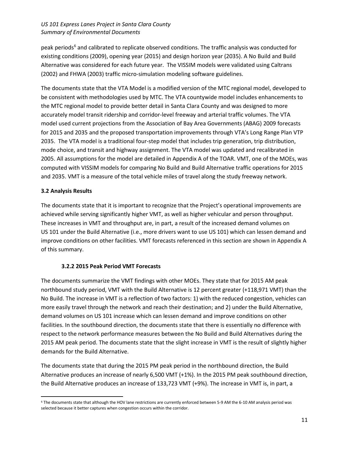peak periods<sup>[6](#page-10-0)</sup> and calibrated to replicate observed conditions. The traffic analysis was conducted for existing conditions (2009), opening year (2015) and design horizon year (2035). A No Build and Build Alternative was considered for each future year. The VISSIM models were validated using Caltrans (2002) and FHWA (2003) traffic micro-simulation modeling software guidelines.

The documents state that the VTA Model is a modified version of the MTC regional model, developed to be consistent with methodologies used by MTC. The VTA countywide model includes enhancements to the MTC regional model to provide better detail in Santa Clara County and was designed to more accurately model transit ridership and corridor-level freeway and arterial traffic volumes. The VTA model used current projections from the Association of Bay Area Governments (ABAG) 2009 forecasts for 2015 and 2035 and the proposed transportation improvements through VTA's Long Range Plan VTP 2035. The VTA model is a traditional four-step model that includes trip generation, trip distribution, mode choice, and transit and highway assignment. The VTA model was updated and recalibrated in 2005. All assumptions for the model are detailed in Appendix A of the TOAR. VMT, one of the MOEs, was computed with VISSIM models for comparing No Build and Build Alternative traffic operations for 2015 and 2035. VMT is a measure of the total vehicle miles of travel along the study freeway network.

# **3.2 Analysis Results**

The documents state that it is important to recognize that the Project's operational improvements are achieved while serving significantly higher VMT, as well as higher vehicular and person throughput. These increases in VMT and throughput are, in part, a result of the increased demand volumes on US 101 under the Build Alternative (i.e., more drivers want to use US 101) which can lessen demand and improve conditions on other facilities. VMT forecasts referenced in this section are shown in Appendix A of this summary.

## **3.2.2 2015 Peak Period VMT Forecasts**

The documents summarize the VMT findings with other MOEs. They state that for 2015 AM peak northbound study period, VMT with the Build Alternative is 12 percent greater (+118,971 VMT) than the No Build. The increase in VMT is a reflection of two factors: 1) with the reduced congestion, vehicles can more easily travel through the network and reach their destination; and 2) under the Build Alternative, demand volumes on US 101 increase which can lessen demand and improve conditions on other facilities. In the southbound direction, the documents state that there is essentially no difference with respect to the network performance measures between the No Build and Build Alternatives during the 2015 AM peak period. The documents state that the slight increase in VMT is the result of slightly higher demands for the Build Alternative.

The documents state that during the 2015 PM peak period in the northbound direction, the Build Alternative produces an increase of nearly 6,500 VMT (+1%). In the 2015 PM peak southbound direction, the Build Alternative produces an increase of 133,723 VMT (+9%). The increase in VMT is, in part, a

<span id="page-10-0"></span> <sup>6</sup> The documents state that although the HOV lane restrictions are currently enforced between 5-9 AM the 6-10 AM analysis period was selected because it better captures when congestion occurs within the corridor.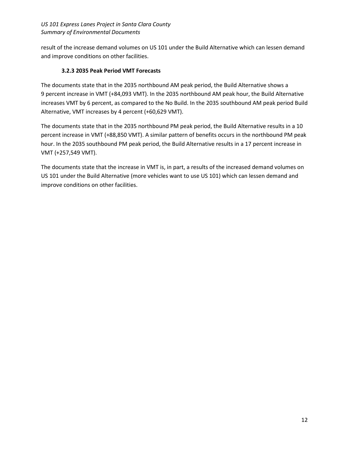result of the increase demand volumes on US 101 under the Build Alternative which can lessen demand and improve conditions on other facilities.

# **3.2.3 2035 Peak Period VMT Forecasts**

The documents state that in the 2035 northbound AM peak period, the Build Alternative shows a 9 percent increase in VMT (+84,093 VMT). In the 2035 northbound AM peak hour, the Build Alternative increases VMT by 6 percent, as compared to the No Build. In the 2035 southbound AM peak period Build Alternative, VMT increases by 4 percent (+60,629 VMT).

The documents state that in the 2035 northbound PM peak period, the Build Alternative results in a 10 percent increase in VMT (+88,850 VMT). A similar pattern of benefits occurs in the northbound PM peak hour. In the 2035 southbound PM peak period, the Build Alternative results in a 17 percent increase in VMT (+257,549 VMT).

The documents state that the increase in VMT is, in part, a results of the increased demand volumes on US 101 under the Build Alternative (more vehicles want to use US 101) which can lessen demand and improve conditions on other facilities.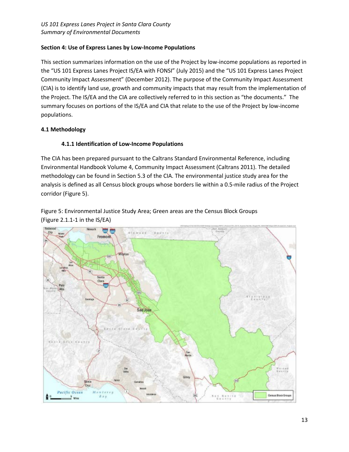# **Section 4: Use of Express Lanes by Low-Income Populations**

This section summarizes information on the use of the Project by low-income populations as reported in the "US 101 Express Lanes Project IS/EA with FONSI" (July 2015) and the "US 101 Express Lanes Project Community Impact Assessment" (December 2012). The purpose of the Community Impact Assessment (CIA) is to identify land use, growth and community impacts that may result from the implementation of the Project. The IS/EA and the CIA are collectively referred to in this section as "the documents." The summary focuses on portions of the IS/EA and CIA that relate to the use of the Project by low-income populations.

# **4.1 Methodology**

# **4.1.1 Identification of Low-Income Populations**

The CIA has been prepared pursuant to the Caltrans Standard Environmental Reference, including Environmental Handbook Volume 4, Community Impact Assessment (Caltrans 2011). The detailed methodology can be found in Section 5.3 of the CIA. The environmental justice study area for the analysis is defined as all Census block groups whose borders lie within a 0.5-mile radius of the Project corridor (Figure 5).

Figure 5: Environmental Justice Study Area; Green areas are the Census Block Groups (Figure 2.1.1-1 in the IS/EA)

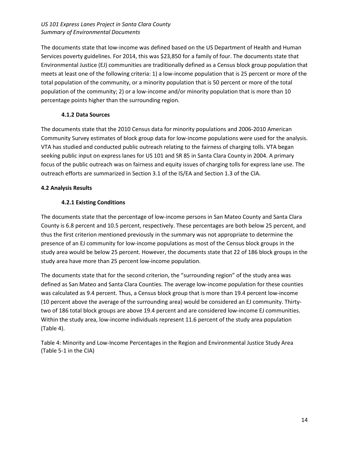The documents state that low-income was defined based on the US Department of Health and Human Services poverty guidelines. For 2014, this was \$23,850 for a family of four. The documents state that Environmental Justice (EJ) communities are traditionally defined as a Census block group population that meets at least one of the following criteria: 1) a low-income population that is 25 percent or more of the total population of the community, or a minority population that is 50 percent or more of the total population of the community; 2) or a low-income and/or minority population that is more than 10 percentage points higher than the surrounding region.

## **4.1.2 Data Sources**

The documents state that the 2010 Census data for minority populations and 2006-2010 American Community Survey estimates of block group data for low-income populations were used for the analysis. VTA has studied and conducted public outreach relating to the fairness of charging tolls. VTA began seeking public input on express lanes for US 101 and SR 85 in Santa Clara County in 2004. A primary focus of the public outreach was on fairness and equity issues of charging tolls for express lane use. The outreach efforts are summarized in Section 3.1 of the IS/EA and Section 1.3 of the CIA.

# **4.2 Analysis Results**

# **4.2.1 Existing Conditions**

The documents state that the percentage of low-income persons in San Mateo County and Santa Clara County is 6.8 percent and 10.5 percent, respectively. These percentages are both below 25 percent, and thus the first criterion mentioned previously in the summary was not appropriate to determine the presence of an EJ community for low-income populations as most of the Census block groups in the study area would be below 25 percent. However, the documents state that 22 of 186 block groups in the study area have more than 25 percent low-income population.

The documents state that for the second criterion, the "surrounding region" of the study area was defined as San Mateo and Santa Clara Counties. The average low-income population for these counties was calculated as 9.4 percent. Thus, a Census block group that is more than 19.4 percent low-income (10 percent above the average of the surrounding area) would be considered an EJ community. Thirtytwo of 186 total block groups are above 19.4 percent and are considered low-income EJ communities. Within the study area, low-income individuals represent 11.6 percent of the study area population (Table 4).

Table 4: Minority and Low-Income Percentages in the Region and Environmental Justice Study Area (Table 5-1 in the CIA)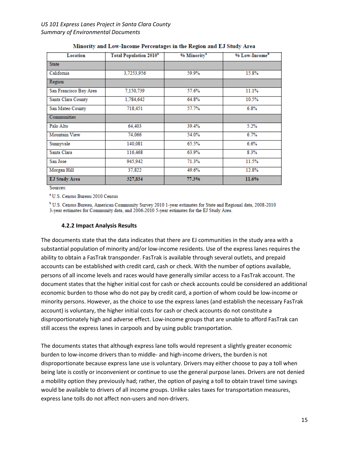| Location               | <b>Total Population 2010*</b> | % Minority <sup>3</sup> | % Low-Income |
|------------------------|-------------------------------|-------------------------|--------------|
| <b>State</b>           |                               |                         |              |
| California             | 3,7253,956                    | 59.9%                   | 15.8%        |
| Region                 |                               |                         |              |
| San Francisco Bay Area | 7,150,739                     | 57.6%                   | 11.1%        |
| Santa Clara County     | 1.784.642                     | 64.8%                   | 10.5%        |
| San Mateo County       | 718,451                       | 57.7%                   | 6.8%         |
| <b>Communities</b>     |                               |                         |              |
| Palo Alto              | 64,403                        | 39.4%                   | 5.2%         |
| Mountain View          | 74,066                        | 54.0%                   | 6.7%         |
| Sunnyvale              | 140,081                       | 65.5%                   | 6.6%         |
| Santa Clara            | 116,468                       | 63.9%                   | 8.3%         |
| San Jose               | 945,942                       | 71.3%                   | 11.5%        |
| Morgan Hill            | 37,822                        | 49.6%                   | 12.8%        |
| <b>EJ Study Area</b>   | 327,834                       | 77.3%                   | 11.6%        |

#### Minority and Low-Income Percentages in the Region and EJ Study Area

Sources:

<sup>a</sup> U.S. Census Bureau 2010 Census

<sup>b</sup> U.S. Census Bureau, American Community Survey 2010 1-year estimates for State and Regional data, 2008-2010 3-year estimates for Community data, and 2006-2010 5-year estimates for the EJ Study Area.

#### **4.2.2 Impact Analysis Results**

The documents state that the data indicates that there are EJ communities in the study area with a substantial population of minority and/or low-income residents. Use of the express lanes requires the ability to obtain a FasTrak transponder. FasTrak is available through several outlets, and prepaid accounts can be established with credit card, cash or check. With the number of options available, persons of all income levels and races would have generally similar access to a FasTrak account. The document states that the higher initial cost for cash or check accounts could be considered an additional economic burden to those who do not pay by credit card, a portion of whom could be low-income or minority persons. However, as the choice to use the express lanes (and establish the necessary FasTrak account) is voluntary, the higher initial costs for cash or check accounts do not constitute a disproportionately high and adverse effect. Low-income groups that are unable to afford FasTrak can still access the express lanes in carpools and by using public transportation.

The documents states that although express lane tolls would represent a slightly greater economic burden to low-income drivers than to middle- and high-income drivers, the burden is not disproportionate because express lane use is voluntary. Drivers may either choose to pay a toll when being late is costly or inconvenient or continue to use the general purpose lanes. Drivers are not denied a mobility option they previously had; rather, the option of paying a toll to obtain travel time savings would be available to drivers of all income groups. Unlike sales taxes for transportation measures, express lane tolls do not affect non-users and non-drivers.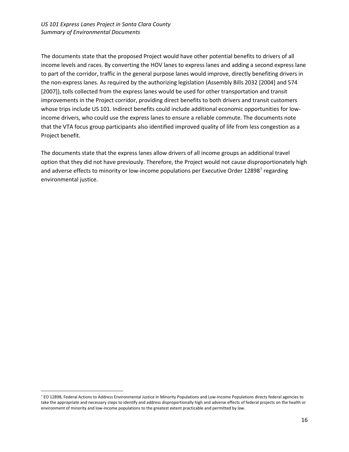The documents state that the proposed Project would have other potential benefits to drivers of all income levels and races. By converting the HOV lanes to express lanes and adding a second express lane to part of the corridor, traffic in the general purpose lanes would improve, directly benefiting drivers in the non-express lanes. As required by the authorizing legislation (Assembly Bills 2032 [2004] and 574 [2007]), tolls collected from the express lanes would be used for other transportation and transit improvements in the Project corridor, providing direct benefits to both drivers and transit customers whose trips include US 101. Indirect benefits could include additional economic opportunities for lowincome drivers, who could use the express lanes to ensure a reliable commute. The documents note that the VTA focus group participants also identified improved quality of life from less congestion as a Project benefit.

The documents state that the express lanes allow drivers of all income groups an additional travel option that they did not have previously. Therefore, the Project would not cause disproportionately high and adverse effects to minority or low-income populations per Executive Order 12898<sup>[7](#page-15-0)</sup> regarding environmental justice.

<span id="page-15-0"></span><sup>&</sup>lt;sup>7</sup> EO 12898, Federal Actions to Address Environmental Justice in Minority Populations and Low-Income Populations directs federal agencies to take the appropriate and necessary steps to identify and address disproportionally high and adverse effects of federal projects on the health or environment of minority and low-income populations to the greatest extent practicable and permitted by law.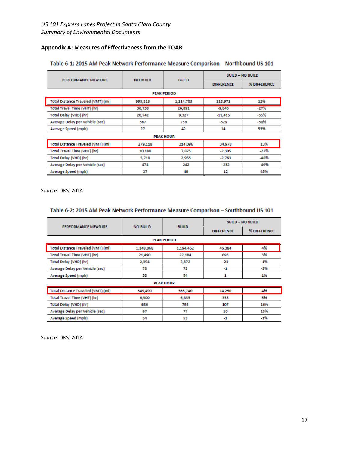# **Appendix A: Measures of Effectiveness from the TOAR**

|                                    |                 |                    | <b>BUILD - NO BUILD</b> |              |  |
|------------------------------------|-----------------|--------------------|-------------------------|--------------|--|
| <b>PERFORMANCE MEASURE</b>         | <b>NO BUILD</b> | <b>BUILD</b>       | <b>DIFFERENCE</b>       | % DIFFERENCE |  |
|                                    |                 | <b>PEAK PERIOD</b> |                         |              |  |
| Total Distance Traveled (VMT) (mi) | 995,813         | 1,114,783          | 118,971                 | 12%          |  |
| Total Travel Time (VHT) (hr)       | 36,738          | 26,891             | $-9,846$                | $-27%$       |  |
| Total Delay (VHD) (hr)             | 20,742          | 9,327              | $-11,415$               | -55%         |  |
| Average Delay per Vehicle (sec)    | 567             | 238                | $-329$                  | -58%         |  |
| Average Speed (mph)                | 27              | 42                 | 14                      | 53%          |  |
|                                    |                 | <b>PEAK HOUR</b>   |                         |              |  |
| Total Distance Traveled (VMT) (mi) | 279,118         | 314,096            | 34,978                  | 13%          |  |
| Total Travel Time (VHT) (hr)       | 10,180          | 7,875              | $-2,305$                | $-23%$       |  |
| Total Delay (VHD) (hr)             | 5,718           | 2,955              | $-2,763$                | $-48%$       |  |
| Average Delay per Vehicle (sec)    | 474             | 242                | $-232$                  | -49%         |  |
| Average Speed (mph)                | 27              | 40                 | 12                      | 45%          |  |

# Table 6-1: 2015 AM Peak Network Performance Measure Comparison - Northbound US 101

Source: DKS, 2014

### Table 6-2: 2015 AM Peak Network Performance Measure Comparison - Southbound US 101

|                                    |                 |                    | <b>BUILD - NO BUILD</b> |              |  |
|------------------------------------|-----------------|--------------------|-------------------------|--------------|--|
| <b>PERFORMANCE MEASURE</b>         | <b>NO BUILD</b> | <b>BUILD</b>       | <b>DIFFERENCE</b>       | % DIFFERENCE |  |
|                                    |                 | <b>PEAK PERIOD</b> |                         |              |  |
| Total Distance Traveled (VMT) (mi) | 1,148,068       | 1,194,452          | 46,384                  | 4%           |  |
| Total Travel Time (VHT) (hr)       | 21,490          | 22,184             | 693                     | 3%           |  |
| Total Delay (VHD) (hr)             | 2,394           | 2,372              | $-23$                   | $-1%$        |  |
| Average Delay per Vehicle (sec)    | 73              | 72                 | $-1$                    | $-296$       |  |
| <b>Average Speed (mph)</b>         | 53              | 54                 | 1                       | 1%           |  |
|                                    |                 | <b>PEAK HOUR</b>   |                         |              |  |
| Total Distance Traveled (VMT) (mi) | 349,490         | 363,740            | 14,250                  | 4%           |  |
| Total Travel Time (VHT) (hr)       | 6,500           | 6,835              | 335                     | 5%           |  |
| Total Delay (VHD) (hr)             | 686             | 793                | 107                     | 16%          |  |
| Average Delay per Vehicle (sec)    | 67              | 77                 | 10                      | 15%          |  |
| Average Speed (mph)                | 54              | 53                 | -1                      | $-1%$        |  |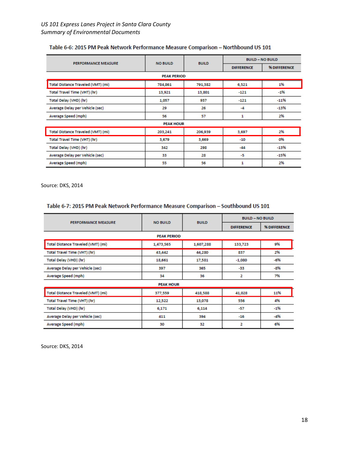| Table 6-6: 2015 PM Peak Network Performance Measure Comparison - Northbound US 101 |
|------------------------------------------------------------------------------------|
|------------------------------------------------------------------------------------|

|                                    | <b>NO BUILD</b><br><b>PERFORMANCE MEASURE</b> |              | <b>BUILD - NO BUILD</b> |              |  |
|------------------------------------|-----------------------------------------------|--------------|-------------------------|--------------|--|
|                                    |                                               | <b>BUILD</b> | <b>DIFFERENCE</b>       | % DIFFERENCE |  |
|                                    | <b>PEAK PERIOD</b>                            |              |                         |              |  |
| Total Distance Traveled (VMT) (mi) | 784,861                                       | 791,382      | 6,521                   | 1%           |  |
| Total Travel Time (VHT) (hr)       | 13,921                                        | 13,801       | $-121$                  | $-1%$        |  |
| Total Delay (VHD) (hr)             | 1,057                                         | 937          | $-121$                  | $-11%$       |  |
| Average Delay per Vehicle (sec)    | 29                                            | 26           | -4                      | $-13%$       |  |
| Average Speed (mph)                | 56                                            | 57           | 1                       | 2%           |  |
|                                    | <b>PEAK HOUR</b>                              |              |                         |              |  |
| Total Distance Traveled (VMT) (mi) | 203,241                                       | 206,939      | 3,697                   | 2%           |  |
| Total Travel Time (VHT) (hr)       | 3,679                                         | 3,669        | $-10$                   | 0%           |  |
| Total Delay (VHD) (hr)             | 342                                           | 298          | $-44$                   | $-13%$       |  |
| Average Delay per Vehicle (sec)    | 33                                            | 28           | -5                      | $-15%$       |  |
| Average Speed (mph)                | 55                                            | 56           | 1                       | 2%           |  |

Source: DKS, 2014

# Table 6-7: 2015 PM Peak Network Performance Measure Comparison - Southbound US 101

|                                    | <b>NO BUILD</b>    | <b>BUILD</b> | <b>BUILD - NO BUILD</b> |              |  |
|------------------------------------|--------------------|--------------|-------------------------|--------------|--|
| <b>PERFORMANCE MEASURE</b>         |                    |              | <b>DIFFERENCE</b>       | % DIFFERENCE |  |
|                                    | <b>PEAK PERIOD</b> |              |                         |              |  |
| Total Distance Traveled (VMT) (mi) | 1,473,565          | 1,607,288    | 133,723                 | 9%           |  |
| Total Travel Time (VHT) (hr)       | 43,442             | 44,280       | 837                     | 2%           |  |
| Total Delay (VHD) (hr)             | 18,661             | 17,581       | $-1,080$                | -6%          |  |
| Average Delay per Vehicle (sec)    | 397                | 365          | -33                     | -8%          |  |
| <b>Average Speed (mph)</b>         | 34                 | 36           | 2                       | 7%           |  |
|                                    | <b>PEAK HOUR</b>   |              |                         |              |  |
| Total Distance Traveled (VMT) (mi) | 377,559            | 418,588      | 41,028                  | 11%          |  |
| Total Travel Time (VHT) (hr)       | 12,522             | 13,078       | 556                     | 4%           |  |
| Total Delay (VHD) (hr)             | 6,171              | 6,114        | $-57$                   | $-1%$        |  |
| Average Delay per Vehicle (sec)    | 411                | 394          | $-16$                   | $-4%$        |  |
| Average Speed (mph)                | 30                 | 32           | 2                       | 6%           |  |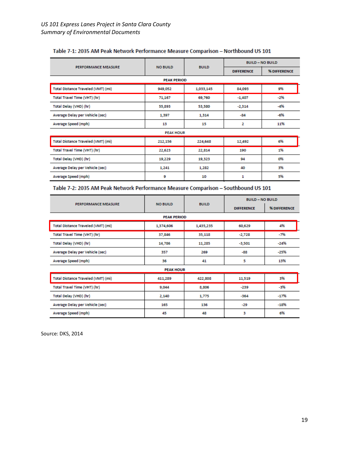|                                    |                    |              | <b>BUILD - NO BUILD</b> |              |  |
|------------------------------------|--------------------|--------------|-------------------------|--------------|--|
| <b>PERFORMANCE MEASURE</b>         | <b>NO BUILD</b>    | <b>BUILD</b> | <b>DIFFERENCE</b>       | % DIFFERENCE |  |
|                                    | <b>PEAK PERIOD</b> |              |                         |              |  |
| Total Distance Traveled (VMT) (mi) | 949,052            | 1,033,145    | 84,093                  | 9%           |  |
| Total Travel Time (VHT) (hr)       | 71,167             | 69,760       | $-1,407$                | $-2%$        |  |
| Total Delay (VHD) (hr)             | 55,893             | 53,580       | $-2,314$                | $-4%$        |  |
| Average Delay per Vehicle (sec)    | 1,397              | 1,314        | $-84$                   | $-6%$        |  |
| Average Speed (mph)                | 13                 | 15           | 2                       | 11%          |  |
|                                    | <b>PEAK HOUR</b>   |              |                         |              |  |
| Total Distance Traveled (VMT) (mi) | 212,156            | 224,648      | 12,492                  | 6%           |  |
| Total Travel Time (VHT) (hr)       | 22,623             | 22,814       | 190                     | 1%           |  |
| Total Delay (VHD) (hr)             | 19,229             | 19,323       | 94                      | 0%           |  |
| Average Delay per Vehicle (sec)    | 1,241              | 1,282        | 40                      | 3%           |  |
| Average Speed (mph)                | 9                  | 10           | 1                       | 5%           |  |

### Table 7-1: 2035 AM Peak Network Performance Measure Comparison - Northbound US 101

# Table 7-2: 2035 AM Peak Network Performance Measure Comparison - Southbound US 101

|                                    |                    |              | <b>BUILD - NO BUILD</b> |              |
|------------------------------------|--------------------|--------------|-------------------------|--------------|
| <b>PERFORMANCE MEASURE</b>         | <b>NO BUILD</b>    | <b>BUILD</b> | <b>DIFFERENCE</b>       | % DIFFERENCE |
|                                    | <b>PEAK PERIOD</b> |              |                         |              |
| Total Distance Traveled (VMT) (mi) | 1,374,606          | 1,435,235    | 60,629                  | 4%           |
| Total Travel Time (VHT) (hr)       | 37,846             | 35,118       | $-2,728$                | -7%          |
| Total Delay (VHD) (hr)             | 14,786             | 11,285       | -3,501                  | -24%         |
| Average Delay per Vehicle (sec)    | 357                | 269          | $-88$                   | -25%         |
| Average Speed (mph)                | 36                 | 41           | 5                       | 13%          |
|                                    | <b>PEAK HOUR</b>   |              |                         |              |
| Total Distance Traveled (VMT) (mi) | 411,289            | 422,808      | 11,519                  | 3%           |
| Total Travel Time (VHT) (hr)       | 9,044              | 8,806        | -239                    | -3%          |
| Total Delay (VHD) (hr)             | 2,140              | 1,775        | $-364$                  | -17%         |
| Average Delay per Vehicle (sec)    | 165                | 136          | $-29$                   | $-18%$       |
| Average Speed (mph)                | 45                 | 48           | 3                       | 6%           |